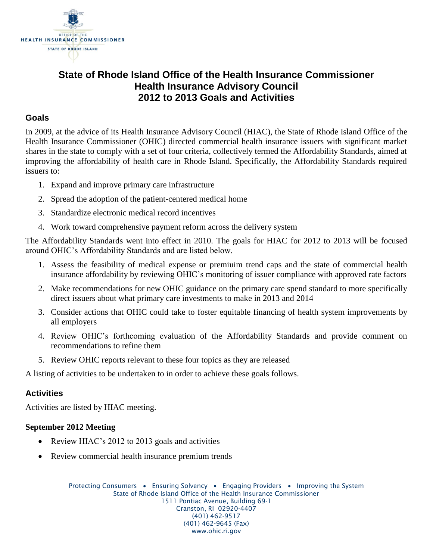

# **State of Rhode Island Office of the Health Insurance Commissioner Health Insurance Advisory Council 2012 to 2013 Goals and Activities**

#### **Goals**

In 2009, at the advice of its Health Insurance Advisory Council (HIAC), the State of Rhode Island Office of the Health Insurance Commissioner (OHIC) directed commercial health insurance issuers with significant market shares in the state to comply with a set of four criteria, collectively termed the Affordability Standards, aimed at improving the affordability of health care in Rhode Island. Specifically, the Affordability Standards required issuers to:

- 1. Expand and improve primary care infrastructure
- 2. Spread the adoption of the patient-centered medical home
- 3. Standardize electronic medical record incentives
- 4. Work toward comprehensive payment reform across the delivery system

The Affordability Standards went into effect in 2010. The goals for HIAC for 2012 to 2013 will be focused around OHIC's Affordability Standards and are listed below.

- 1. Assess the feasibility of medical expense or premiuim trend caps and the state of commercial health insurance affordability by reviewing OHIC's monitoring of issuer compliance with approved rate factors
- 2. Make recommendations for new OHIC guidance on the primary care spend standard to more specifically direct issuers about what primary care investments to make in 2013 and 2014
- 3. Consider actions that OHIC could take to foster equitable financing of health system improvements by all employers
- 4. Review OHIC's forthcoming evaluation of the Affordability Standards and provide comment on recommendations to refine them
- 5. Review OHIC reports relevant to these four topics as they are released

A listing of activities to be undertaken to in order to achieve these goals follows.

#### **Activities**

Activities are listed by HIAC meeting.

#### **September 2012 Meeting**

- Review HIAC's 2012 to 2013 goals and activities
- Review commercial health insurance premium trends

Protecting Consumers • Ensuring Solvency • Engaging Providers • Improving the System State of Rhode Island Office of the Health Insurance Commissioner 1511 Pontiac Avenue, Building 69-1 Cranston, RI 02920-4407 (401) 462-9517 (401) 462-9645 (Fax) www.ohic.ri.gov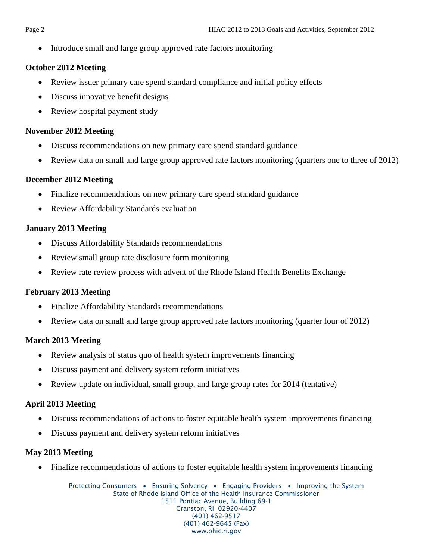Introduce small and large group approved rate factors monitoring

## **October 2012 Meeting**

- Review issuer primary care spend standard compliance and initial policy effects
- Discuss innovative benefit designs
- Review hospital payment study

## **November 2012 Meeting**

- Discuss recommendations on new primary care spend standard guidance
- Review data on small and large group approved rate factors monitoring (quarters one to three of 2012)

## **December 2012 Meeting**

- Finalize recommendations on new primary care spend standard guidance
- Review Affordability Standards evaluation

# **January 2013 Meeting**

- Discuss Affordability Standards recommendations
- Review small group rate disclosure form monitoring
- Review rate review process with advent of the Rhode Island Health Benefits Exchange

# **February 2013 Meeting**

- Finalize Affordability Standards recommendations
- Review data on small and large group approved rate factors monitoring (quarter four of 2012)

# **March 2013 Meeting**

- Review analysis of status quo of health system improvements financing
- Discuss payment and delivery system reform initiatives
- Review update on individual, small group, and large group rates for 2014 (tentative)

## **April 2013 Meeting**

- Discuss recommendations of actions to foster equitable health system improvements financing
- Discuss payment and delivery system reform initiatives

# **May 2013 Meeting**

Finalize recommendations of actions to foster equitable health system improvements financing

Protecting Consumers • Ensuring Solvency • Engaging Providers • Improving the System State of Rhode Island Office of the Health Insurance Commissioner 1511 Pontiac Avenue, Building 69-1 Cranston, RI 02920-4407 (401) 462-9517 (401) 462-9645 (Fax) www.ohic.ri.gov